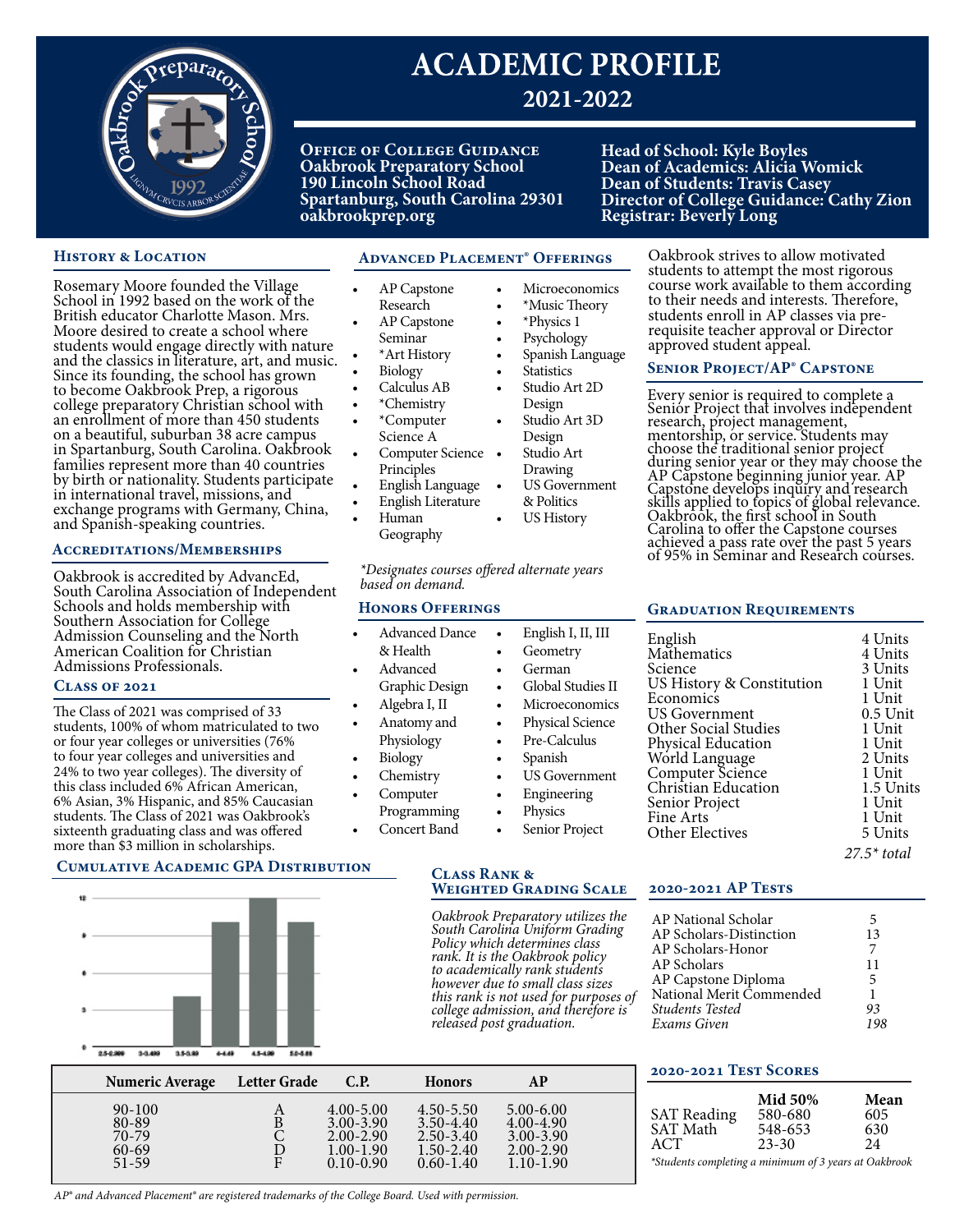

# **ACADEMIC PROFILE 2021-2022**

**Office of College Guidance Oakbrook Preparatory School 190 Lincoln School Road Spartanburg, South Carolina 29301 oakbrookprep.org**

> • AP Capstone Research AP Capstone Seminar • \*Art History • Biology • Calculus AB • \*Chemistry • \*Computer Science A

Principles • English Language • English Literature

• Human

**Head of School: Kyle Boyles Dean of Academics: Alicia Womick Dean of Students: Travis Casey Director of College Guidance: Cathy Zion Registrar: Beverly Long** 

> Oakbrook strives to allow motivated students to attempt the most rigorous course work available to them according to their needs and interests. Therefore, students enroll in AP classes via prerequisite teacher approval or Director

# **HISTORY & LOCATION**

Rosemary Moore founded the Village School in 1992 based on the work of the British educator Charlotte Mason. Mrs. Moore desired to create a school where students would engage directly with nature and the classics in literature, art, and music. Since its founding, the school has grown to become Oakbrook Prep, a rigorous college preparatory Christian school with an enrollment of more than 450 students on a beautiful, suburban 38 acre campus in Spartanburg, South Carolina. Oakbrook families represent more than 40 countries by birth or nationality. Students participate in international travel, missions, and exchange programs with Germany, China, and Spanish-speaking countries.

#### **Accreditations/Memberships**

Oakbrook is accredited by AdvancEd, South Carolina Association of Independent Schools and holds membership with Southern Association for College Admission Counseling and the North American Coalition for Christian Admissions Professionals.

#### **Class of 2021**

The Class of 2021 was comprised of 33 students, 100% of whom matriculated to two or four year colleges or universities (76% to four year colleges and universities and 24% to two year colleges). The diversity of this class included 6% African American, 6% Asian, 3% Hispanic, and 85% Caucasian students. The Class of 2021 was Oakbrook's sixteenth graduating class and was offered more than \$3 million in scholarships.

# **Advanced Placement**® **Offerings**

- **Microeconomics**
- \*Music Theory • \*Physics 1
- Psychology
- Spanish Language
- **Statistics**
- Studio Art 2D
- Design
- Computer Science Studio Art 3D Design Studio Art
	- Drawing US Government
	- & Politics
	- US History

Every senior is required to complete a Senior Project that involves independent research, project management, mentorship, or service. Students may

choose the traditional senior project during senior year or they may choose the AP Capstone beginning junior year. AP Capstone develops inquiry and research skills applied to topics of global relevance. Oakbrook, the first school in South Carolina to offer the Capstone courses achieved a pass rate over the past 5 years of 95% in Seminar and Research courses.

**Senior Project/AP**® **Capstone**

approved student appeal.

# *\*Designates courses offered alternate years*

# **Honors Offerings**

- Advanced Dance & Health • Advanced Graphic Design • Algebra I, II • Anatomy and Physiology English I, II, **Geometry** • German Global Studi Microecono Physical Scie Pre-Calculus
	-
	- Chemistry
- Computer Programming

• Biology

- Concert Band
- Spanish **US** Governr **Engineering** 
	- Physics
	- Senior Proje

#### **Graduation Requirements**

| <b>III</b> | English<br>Mathematics      | 4 Units<br>4 Units |
|------------|-----------------------------|--------------------|
|            | Science                     | 3 Units            |
| ies II     | US History & Constitution   | 1 Unit             |
| mics       | Economics                   | 1 Unit             |
|            | <b>US Government</b>        | $0.5$ Unit         |
| ence       | <b>Other Social Studies</b> | 1 Unit             |
| S          | Physical Education          | 1 Unit             |
|            | World Language              | 2 Units            |
| nent       | Computer Science            | 1 Unit             |
|            | Christian Education         | 1.5 Units          |
|            | Senior Project              | 1 Unit             |
|            | Fine Arts                   | 1 Unit             |
| .ct        | <b>Other Electives</b>      | 5 Units            |
|            |                             | $27.5*$ total      |

# **Cumulative Academic GPA Distribution**



#### **Class Rank & Weighted Grading Scale**

*Oakbrook Preparatory utilizes the South Carolina Uniform Grading Policy which determines class rank. It is the Oakbrook policy to academically rank students however due to small class sizes this rank is not used for purposes of college admission, and therefore is released post graduation.*

#### **2020-2021 AP Tests**

**2020-2021 Test Scores**

| AP National Scholar      | 5  |
|--------------------------|----|
| AP Scholars-Distinction  | 13 |
| AP Scholars-Honor        |    |
| AP Scholars              | 11 |
| AP Capstone Diploma      | 5  |
| National Merit Commended | 1  |
| <b>Students Tested</b>   | 93 |
| Exams Given              |    |

| Numeric Average                                        | Letter Grade | C.P.                                                                              | <b>Honors</b>                                                                     | АP                                                                                |  |
|--------------------------------------------------------|--------------|-----------------------------------------------------------------------------------|-----------------------------------------------------------------------------------|-----------------------------------------------------------------------------------|--|
| $90 - 100$<br>80-89<br>70-79<br>$60 - 69$<br>$51 - 59$ | ◡<br>Е       | $4.00 - 5.00$<br>$3.00 - 3.90$<br>$2.00 - 2.90$<br>$1.00 - 1.90$<br>$0.10 - 0.90$ | $4.50 - 5.50$<br>$3.50 - 4.40$<br>$2.50 - 3.40$<br>$1.50 - 2.40$<br>$0.60 - 1.40$ | $5.00 - 6.00$<br>$4.00 - 4.90$<br>$3.00 - 3.90$<br>$2.00 - 2.90$<br>$1.10 - 1.90$ |  |

|  | <b>SAT Reading</b><br><b>SAT Math</b><br>ACT | <b>Mid 50%</b><br>580-680<br>548-653<br>$23 - 30$ | Mean<br>605<br>630<br>24 |
|--|----------------------------------------------|---------------------------------------------------|--------------------------|
|--|----------------------------------------------|---------------------------------------------------|--------------------------|

*\*Students completing a minimum of 3 years at Oakbrook*

*AP® and Advanced Placement® are registered trademarks of the College Board. Used with permission.*

Geography

*based on demand.*